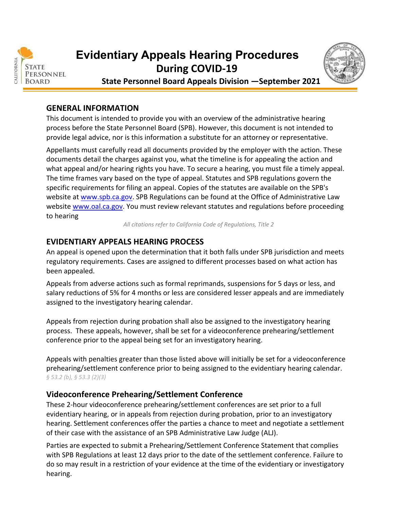

# **During COVID‐19 Evidentiary Appeals Hearing Procedures**



 **State Personnel Board Appeals Division —September 2021**

#### **GENERAL INFORMATION**

 This document is intended to provide you with an overview of the administrative hearing process before the State Personnel Board (SPB). However, this document is not intended to provide legal advice, nor is this information a substitute for an attorney or representative.

 Appellants must carefully read all documents provided by the employer with the action. These documents detail the charges against you, what the timeline is for appealing the action and what appeal and/or hearing rights you have. To secure a hearing, you must file a timely appeal. The time frames vary based on the type of appeal. Statutes and SPB regulations govern the specific requirements for filing an appeal. Copies of the statutes are available on the SPB's website at www.spb.ca.gov</u>. SPB Regulations can be found at the Office of Administrative Law website [www.oal.ca.gov.](www.oal.ca.gov) You must review relevant statutes and regulations before proceeding to hearing

All citations refer to California Code of Regulations, Title 2

#### **EVIDENTIARY APPEALS HEARING PROCESS**

 An appeal is opened upon the determination that it both falls under SPB jurisdiction and meets regulatory requirements. Cases are assigned to different processes based on what action has been appealed.

 Appeals from adverse actions such as formal reprimands, suspensions for 5 days or less, and salary reductions of 5% for 4 months or less are considered lesser appeals and are immediately assigned to the investigatory hearing calendar.

 Appeals from rejection during probation shall also be assigned to the investigatory hearing process. These appeals, however, shall be set for a videoconference prehearing/settlement conference prior to the appeal being set for an investigatory hearing.

 Appeals with penalties greater than those listed above will initially be set for a videoconference prehearing/settlement conference prior to being assigned to the evidentiary hearing calendar.  *§ 53.2 (b), § 53.3 (2)(3)*

#### **Videoconference Prehearing/Settlement Conference**

 These 2‐hour videoconference prehearing/settlement conferences are set prior to a full evidentiary hearing, or in appeals from rejection during probation, prior to an investigatory hearing. Settlement conferences offer the parties a chance to meet and negotiate a settlement of their case with the assistance of an SPB Administrative Law Judge (ALJ).

 Parties are expected to submit a Prehearing/Settlement Conference Statement that complies with SPB Regulations at least 12 days prior to the date of the settlement conference. Failure to do so may result in a restriction of your evidence at the time of the evidentiary or investigatory hearing.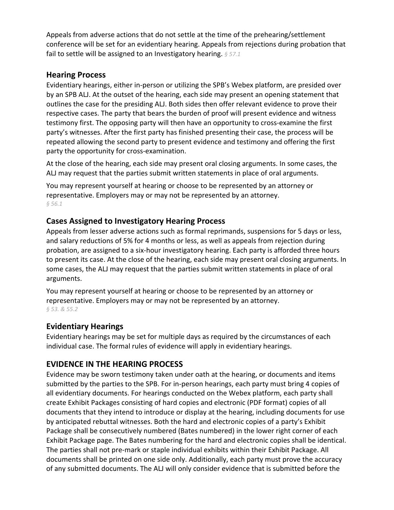Appeals from adverse actions that do not settle at the time of the prehearing/settlement conference will be set for an evidentiary hearing. Appeals from rejections during probation that  fail to settle will be assigned to an Investigatory hearing. *§ 57.1*

#### **Hearing Process**

 Evidentiary hearings, either in‐person or utilizing the SPB's Webex platform, are presided over by an SPB ALJ. At the outset of the hearing, each side may present an opening statement that outlines the case for the presiding ALJ. Both sides then offer relevant evidence to prove their respective cases. The party that bears the burden of proof will present evidence and witness testimony first. The opposing party will then have an opportunity to cross‐examine the first party's witnesses. After the first party has finished presenting their case, the process will be repeated allowing the second party to present evidence and testimony and offering the first party the opportunity for cross‐examination.

 At the close of the hearing, each side may present oral closing arguments. In some cases, the ALJ may request that the parties submit written statements in place of oral arguments.

 You may represent yourself at hearing or choose to be represented by an attorney or representative. Employers may or may not be represented by an attorney.  *§ 56.1*

#### **Cases Assigned to Investigatory Hearing Process**

 Appeals from lesser adverse actions such as formal reprimands, suspensions for 5 days or less, and salary reductions of 5% for 4 months or less, as well as appeals from rejection during probation, are assigned to a six‐hour investigatory hearing. Each party is afforded three hours to present its case. At the close of the hearing, each side may present oral closing arguments. In some cases, the ALJ may request that the parties submit written statements in place of oral arguments.

 You may represent yourself at hearing or choose to be represented by an attorney or representative. Employers may or may not be represented by an attorney.  *§ 53. & 55.2*

## **Evidentiary Hearings**

 Evidentiary hearings may be set for multiple days as required by the circumstances of each individual case. The formal rules of evidence will apply in evidentiary hearings.

### **EVIDENCE IN THE HEARING PROCESS**

 Evidence may be sworn testimony taken under oath at the hearing, or documents and items submitted by the parties to the SPB. For in‐person hearings, each party must bring 4 copies of all evidentiary documents. For hearings conducted on the Webex platform, each party shall create Exhibit Packages consisting of hard copies and electronic (PDF format) copies of all documents that they intend to introduce or display at the hearing, including documents for use by anticipated rebuttal witnesses. Both the hard and electronic copies of a party's Exhibit Package shall be consecutively numbered (Bates numbered) in the lower right corner of each Exhibit Package page. The Bates numbering for the hard and electronic copies shall be identical. The parties shall not pre‐mark or staple individual exhibits within their Exhibit Package. All documents shall be printed on one side only. Additionally, each party must prove the accuracy of any submitted documents. The ALJ will only consider evidence that is submitted before the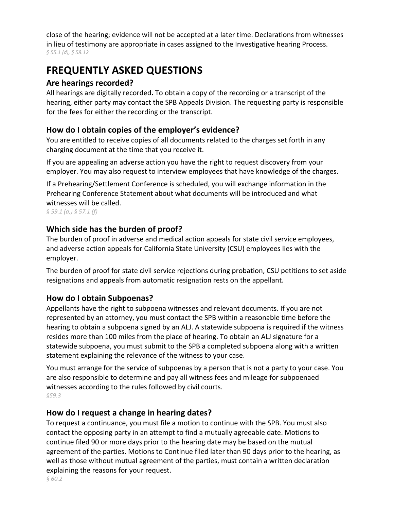close of the hearing; evidence will not be accepted at a later time. Declarations from witnesses in lieu of testimony are appropriate in cases assigned to the Investigative hearing Process.  *§ 55.1 (d), § 58.12*

## **FREQUENTLY ASKED QUESTIONS**

## **Are hearings recorded?**

 All hearings are digitally recorded**.** To obtain a copy of the recording or a transcript of the hearing, either party may contact the SPB Appeals Division. The requesting party is responsible for the fees for either the recording or the transcript.

## **How do I obtain copies of the employer's evidence?**

 You are entitled to receive copies of all documents related to the charges set forth in any charging document at the time that you receive it.

 If you are appealing an adverse action you have the right to request discovery from your employer. You may also request to interview employees that have knowledge of the charges.

 If a Prehearing/Settlement Conference is scheduled, you will exchange information in the Prehearing Conference Statement about what documents will be introduced and what witnesses will be called.

 *§ 59.1 (a,) § 57.1 (f)*

## **Which side has the burden of proof?**

 The burden of proof in adverse and medical action appeals for state civil service employees, and adverse action appeals for California State University (CSU) employees lies with the employer.

 The burden of proof for state civil service rejections during probation, CSU petitions to set aside resignations and appeals from automatic resignation rests on the appellant.

## **How do I obtain Subpoenas?**

 Appellants have the right to subpoena witnesses and relevant documents. If you are not represented by an attorney, you must contact the SPB within a reasonable time before the hearing to obtain a subpoena signed by an ALJ. A statewide subpoena is required if the witness resides more than 100 miles from the place of hearing. To obtain an ALJ signature for a statewide subpoena, you must submit to the SPB a completed subpoena along with a written statement explaining the relevance of the witness to your case.

 You must arrange for the service of subpoenas by a person that is not a party to your case. You are also responsible to determine and pay all witness fees and mileage for subpoenaed witnesses according to the rules followed by civil courts. *§59.3*

### **How do I request a change in hearing dates?**

 To request a continuance, you must file a motion to continue with the SPB. You must also contact the opposing party in an attempt to find a mutually agreeable date. Motions to continue filed 90 or more days prior to the hearing date may be based on the mutual agreement of the parties. Motions to Continue filed later than 90 days prior to the hearing, as well as those without mutual agreement of the parties, must contain a written declaration explaining the reasons for your request.